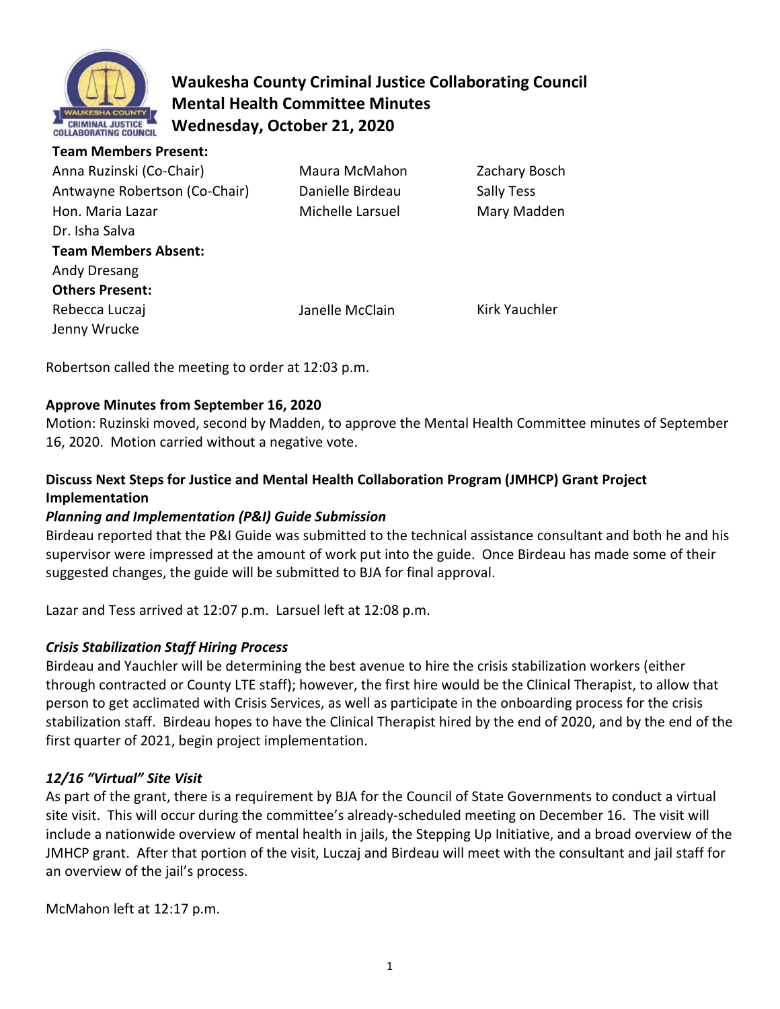

**Team Members Present:** 

# **Waukesha County Criminal Justice Collaborating Council Mental Health Committee Minutes Wednesday, October 21, 2020**

| Tealii ivieliidels Fieseill.  |                  |               |
|-------------------------------|------------------|---------------|
| Anna Ruzinski (Co-Chair)      | Maura McMahon    | Zachary Bosch |
| Antwayne Robertson (Co-Chair) | Danielle Birdeau | Sally Tess    |
| Hon. Maria Lazar              | Michelle Larsuel | Mary Madden   |
| Dr. Isha Salva                |                  |               |
| <b>Team Members Absent:</b>   |                  |               |
| Andy Dresang                  |                  |               |
| <b>Others Present:</b>        |                  |               |
| Rebecca Luczaj                | Janelle McClain  | Kirk Yauchler |
| Jenny Wrucke                  |                  |               |
|                               |                  |               |

Robertson called the meeting to order at 12:03 p.m.

## **Approve Minutes from September 16, 2020**

Motion: Ruzinski moved, second by Madden, to approve the Mental Health Committee minutes of September 16, 2020. Motion carried without a negative vote.

## **Discuss Next Steps for Justice and Mental Health Collaboration Program (JMHCP) Grant Project Implementation**

## *Planning and Implementation (P&I) Guide Submission*

Birdeau reported that the P&I Guide was submitted to the technical assistance consultant and both he and his supervisor were impressed at the amount of work put into the guide. Once Birdeau has made some of their suggested changes, the guide will be submitted to BJA for final approval.

Lazar and Tess arrived at 12:07 p.m. Larsuel left at 12:08 p.m.

## *Crisis Stabilization Staff Hiring Process*

Birdeau and Yauchler will be determining the best avenue to hire the crisis stabilization workers (either through contracted or County LTE staff); however, the first hire would be the Clinical Therapist, to allow that person to get acclimated with Crisis Services, as well as participate in the onboarding process for the crisis stabilization staff. Birdeau hopes to have the Clinical Therapist hired by the end of 2020, and by the end of the first quarter of 2021, begin project implementation.

## *12/16 "Virtual" Site Visit*

As part of the grant, there is a requirement by BJA for the Council of State Governments to conduct a virtual site visit. This will occur during the committee's already-scheduled meeting on December 16. The visit will include a nationwide overview of mental health in jails, the Stepping Up Initiative, and a broad overview of the JMHCP grant. After that portion of the visit, Luczaj and Birdeau will meet with the consultant and jail staff for an overview of the jail's process.

McMahon left at 12:17 p.m.